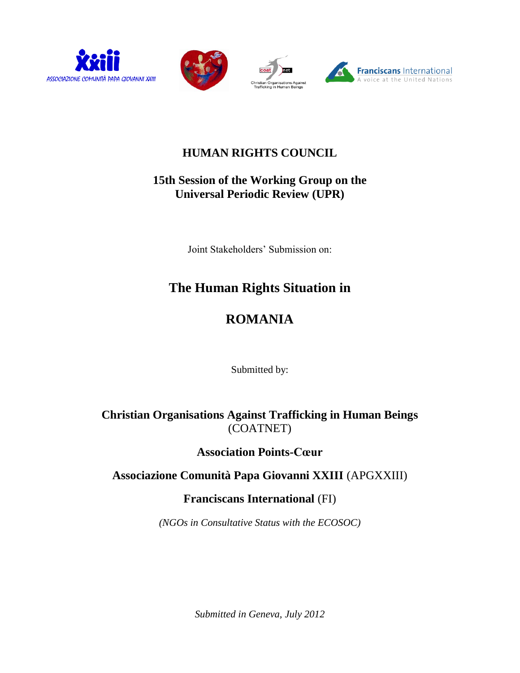





# **HUMAN RIGHTS COUNCIL**

# **15th Session of the Working Group on the Universal Periodic Review (UPR)**

Joint Stakeholders' Submission on:

# **The Human Rights Situation in**

# **ROMANIA**

Submitted by:

**Christian Organisations Against Trafficking in Human Beings** (COATNET)

**Association Points-Cœur**

# **Associazione Comunità Papa Giovanni XXIII** (APGXXIII)

**Franciscans International** (FI)

*(NGOs in Consultative Status with the ECOSOC)*

*Submitted in Geneva, July 2012*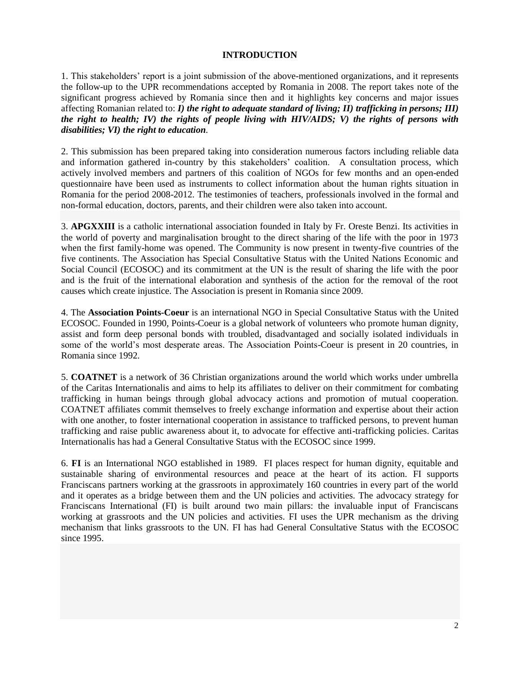#### **INTRODUCTION**

1. This stakeholders' report is a joint submission of the above-mentioned organizations, and it represents the follow-up to the UPR recommendations accepted by Romania in 2008. The report takes note of the significant progress achieved by Romania since then and it highlights key concerns and major issues affecting Romanian related to: *I) the right to adequate standard of living; II) trafficking in persons; III) the right to health; IV) the rights of people living with HIV/AIDS; V) the rights of persons with disabilities; VI) the right to education*.

2. This submission has been prepared taking into consideration numerous factors including reliable data and information gathered in-country by this stakeholders' coalition. A consultation process, which actively involved members and partners of this coalition of NGOs for few months and an open-ended questionnaire have been used as instruments to collect information about the human rights situation in Romania for the period 2008-2012. The testimonies of teachers, professionals involved in the formal and non-formal education, doctors, parents, and their children were also taken into account.

3. **APGXXIII** is a catholic international association founded in Italy by Fr. Oreste Benzi. Its activities in the world of poverty and marginalisation brought to the direct sharing of the life with the poor in 1973 when the first family-home was opened. The Community is now present in twenty-five countries of the five continents. The Association has Special Consultative Status with the United Nations Economic and Social Council (ECOSOC) and its commitment at the UN is the result of sharing the life with the poor and is the fruit of the international elaboration and synthesis of the action for the removal of the root causes which create injustice. The Association is present in Romania since 2009.

4. The **Association Points-Coeur** is an international NGO in Special Consultative Status with the United ECOSOC. Founded in 1990, Points-Coeur is a global network of volunteers who promote human dignity, assist and form deep personal bonds with troubled, disadvantaged and socially isolated individuals in some of the world's most desperate areas. The Association Points-Coeur is present in 20 countries, in Romania since 1992.

5. **COATNET** is a network of 36 Christian organizations around the world which works under umbrella of the Caritas Internationalis and aims to help its affiliates to deliver on their commitment for combating trafficking in human beings through global advocacy actions and promotion of mutual cooperation. COATNET affiliates commit themselves to freely exchange information and expertise about their action with one another, to foster international cooperation in assistance to trafficked persons, to prevent human trafficking and raise public awareness about it, to advocate for effective anti-trafficking policies. Caritas Internationalis has had a General Consultative Status with the ECOSOC since 1999.

6. **FI** is an International NGO established in 1989. FI places respect for human dignity, equitable and sustainable sharing of environmental resources and peace at the heart of its action. FI supports Franciscans partners working at the grassroots in approximately 160 countries in every part of the world and it operates as a bridge between them and the UN policies and activities. The advocacy strategy for Franciscans International (FI) is built around two main pillars: the invaluable input of Franciscans working at grassroots and the UN policies and activities. FI uses the UPR mechanism as the driving mechanism that links grassroots to the UN. FI has had General Consultative Status with the ECOSOC since 1995.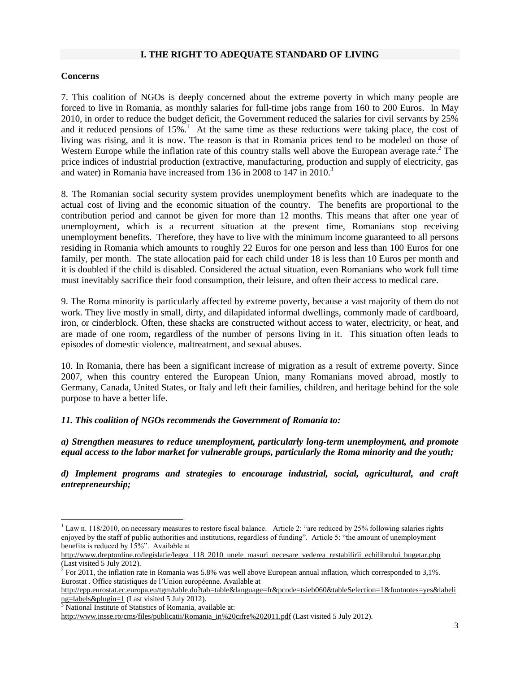## **I. THE RIGHT TO ADEQUATE STANDARD OF LIVING**

#### **Concerns**

7. This coalition of NGOs is deeply concerned about the extreme poverty in which many people are forced to live in Romania, as monthly salaries for full-time jobs range from 160 to 200 Euros. In May 2010, in order to reduce the budget deficit, the Government reduced the salaries for civil servants by 25% and it reduced pensions of 15%.<sup>1</sup> At the same time as these reductions were taking place, the cost of living was rising, and it is now. The reason is that in Romania prices tend to be modeled on those of Western Europe while the inflation rate of this country stalls well above the European average rate.<sup>2</sup> The price indices of industrial production (extractive, manufacturing, production and supply of electricity, gas and water) in Romania have increased from 136 in 2008 to 147 in 2010.<sup>3</sup>

8. The Romanian social security system provides unemployment benefits which are inadequate to the actual cost of living and the economic situation of the country. The benefits are proportional to the contribution period and cannot be given for more than 12 months. This means that after one year of unemployment, which is a recurrent situation at the present time, Romanians stop receiving unemployment benefits. Therefore, they have to live with the minimum income guaranteed to all persons residing in Romania which amounts to roughly 22 Euros for one person and less than 100 Euros for one family, per month. The state allocation paid for each child under 18 is less than 10 Euros per month and it is doubled if the child is disabled. Considered the actual situation, even Romanians who work full time must inevitably sacrifice their food consumption, their leisure, and often their access to medical care.

9. The Roma minority is particularly affected by extreme poverty, because a vast majority of them do not work. They live mostly in small, dirty, and dilapidated informal dwellings, commonly made of cardboard, iron, or cinderblock. Often, these shacks are constructed without access to water, electricity, or heat, and are made of one room, regardless of the number of persons living in it. This situation often leads to episodes of domestic violence, maltreatment, and sexual abuses.

10. In Romania, there has been a significant increase of migration as a result of extreme poverty. Since 2007, when this country entered the European Union, many Romanians moved abroad, mostly to Germany, Canada, United States, or Italy and left their families, children, and heritage behind for the sole purpose to have a better life.

*11. This coalition of NGOs recommends the Government of Romania to:* 

*a) Strengthen measures to reduce unemployment, particularly long-term unemployment, and promote equal access to the labor market for vulnerable groups, particularly the Roma minority and the youth;*

*d) Implement programs and strategies to encourage industrial, social, agricultural, and craft entrepreneurship;*

 $\overline{\phantom{a}}$ 

 $1$  Law n. 118/2010, on necessary measures to restore fiscal balance. Article 2: "are reduced by 25% following salaries rights enjoyed by the staff of public authorities and institutions, regardless of funding". Article 5: "the amount of unemployment benefits is reduced by 15%". Available at

http://www.dreptonline.ro/legislatie/legea\_118\_2010\_unele\_masuri\_necesare\_vederea\_restabilirii\_echilibrului\_bugetar.php (Last visited 5 July 2012).

<sup>&</sup>lt;sup>2</sup> For 2011, the inflation rate in Romania was 5.8% was well above European annual inflation, which corresponded to 3,1%. Eurostat . Office statistiques de l'Union européenne. Available at

[http://epp.eurostat.ec.europa.eu/tgm/table.do?tab=table&language=fr&pcode=tsieb060&tableSelection=1&footnotes=yes&labeli](http://epp.eurostat.ec.europa.eu/tgm/table.do?tab=table&language=fr&pcode=tsieb060&tableSelection=1&footnotes=yes&labeling=labels&plugin=1) [ng=labels&plugin=1](http://epp.eurostat.ec.europa.eu/tgm/table.do?tab=table&language=fr&pcode=tsieb060&tableSelection=1&footnotes=yes&labeling=labels&plugin=1) (Last visited 5 July 2012).

<sup>&</sup>lt;sup>3</sup> National Institute of Statistics of Romania, available at:

[http://www.insse.ro/cms/files/publicatii/Romania\\_in%20cifre%202011.pdf](http://www.insse.ro/cms/files/publicatii/Romania_in%20cifre%202011.pdf) (Last visited 5 July 2012).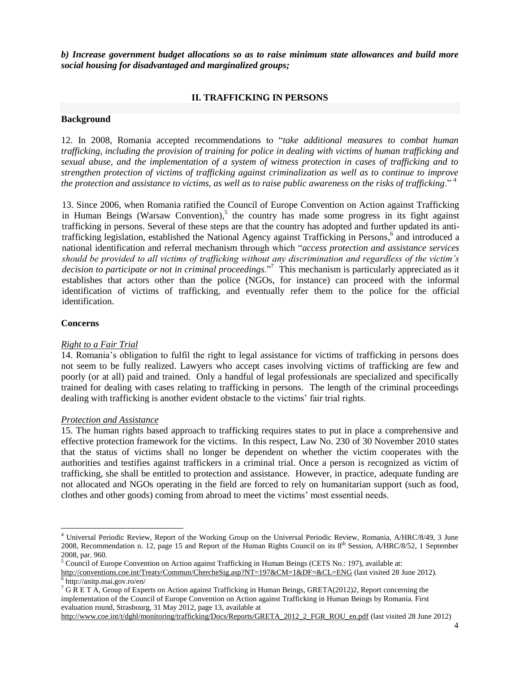*b) Increase government budget allocations so as to raise minimum state allowances and build more social housing for disadvantaged and marginalized groups;*

# **II. TRAFFICKING IN PERSONS**

# **Background**

12. In 2008, Romania accepted recommendations to "*take additional measures to combat human trafficking, including the provision of training for police in dealing with victims of human trafficking and sexual abuse, and the implementation of a system of witness protection in cases of trafficking and to strengthen protection of victims of trafficking against criminalization as well as to continue to improve the protection and assistance to victims, as well as to raise public awareness on the risks of trafficking*." <sup>4</sup>

13. Since 2006, when Romania ratified the Council of Europe Convention on Action against Trafficking in Human Beings (Warsaw Convention), 5 the country has made some progress in its fight against trafficking in persons. Several of these steps are that the country has adopted and further updated its antitrafficking legislation, established the National Agency against Trafficking in Persons,<sup>6</sup> and introduced a national identification and referral mechanism through which "*access protection and assistance services should be provided to all victims of trafficking without any discrimination and regardless of the victim's decision to participate or not in criminal proceedings*."<sup>7</sup> This mechanism is particularly appreciated as it establishes that actors other than the police (NGOs, for instance) can proceed with the informal identification of victims of trafficking, and eventually refer them to the police for the official identification.

# **Concerns**

# *Right to a Fair Trial*

14. Romania's obligation to fulfil the right to legal assistance for victims of trafficking in persons does not seem to be fully realized. Lawyers who accept cases involving victims of trafficking are few and poorly (or at all) paid and trained. Only a handful of legal professionals are specialized and specifically trained for dealing with cases relating to trafficking in persons. The length of the criminal proceedings dealing with trafficking is another evident obstacle to the victims' fair trial rights.

#### *Protection and Assistance*

15. The human rights based approach to trafficking requires states to put in place a comprehensive and effective protection framework for the victims. In this respect, Law No. 230 of 30 November 2010 states that the status of victims shall no longer be dependent on whether the victim cooperates with the authorities and testifies against traffickers in a criminal trial. Once a person is recognized as victim of trafficking, she shall be entitled to protection and assistance. However, in practice, adequate funding are not allocated and NGOs operating in the field are forced to rely on humanitarian support (such as food, clothes and other goods) coming from abroad to meet the victims' most essential needs.

l

```
http://www.coe.int/t/dghl/monitoring/trafficking/Docs/Reports/GRETA_2012_2_FGR_ROU_en.pdf (last visited 28 June 2012)
```
<sup>4</sup> Universal Periodic Review, Report of the Working Group on the Universal Periodic Review, Romania, A/HRC/8/49, 3 June 2008, Recommendation n. 12, page 15 and Report of the Human Rights Council on its  $8^{th}$  Session, A/HRC/8/52, 1 September 2008, par. 960.

<sup>5</sup> Council of Europe Convention on Action against Trafficking in Human Beings (CETS No.: 197), available at: <http://conventions.coe.int/Treaty/Commun/ChercheSig.asp?NT=197&CM=1&DF=&CL=ENG> (last visited 28 June 2012).

<sup>6</sup> http://anitp.mai.gov.ro/en/

<sup>&</sup>lt;sup>7</sup> G R E T A, Group of Experts on Action against Trafficking in Human Beings, GRETA(2012)2, Report concerning the implementation of the Council of Europe Convention on Action against Trafficking in Human Beings by Romania. First evaluation round, Strasbourg, 31 May 2012, page 13, available at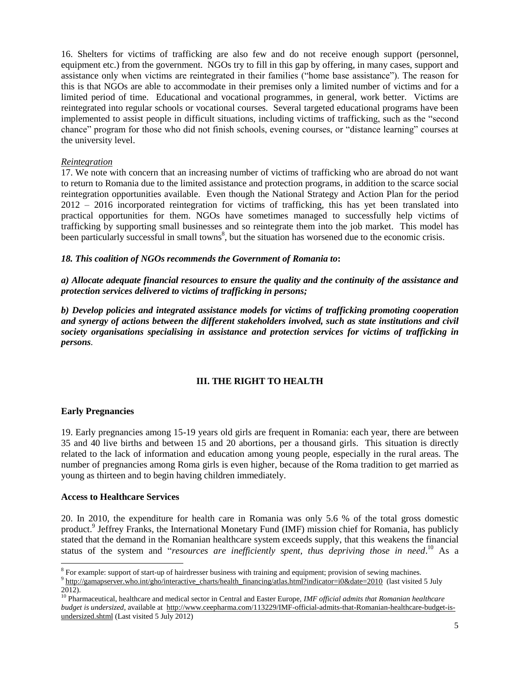16. Shelters for victims of trafficking are also few and do not receive enough support (personnel, equipment etc.) from the government. NGOs try to fill in this gap by offering, in many cases, support and assistance only when victims are reintegrated in their families ("home base assistance"). The reason for this is that NGOs are able to accommodate in their premises only a limited number of victims and for a limited period of time. Educational and vocational programmes, in general, work better. Victims are reintegrated into regular schools or vocational courses. Several targeted educational programs have been implemented to assist people in difficult situations, including victims of trafficking, such as the "second chance" program for those who did not finish schools, evening courses, or "distance learning" courses at the university level.

## *Reintegration*

17. We note with concern that an increasing number of victims of trafficking who are abroad do not want to return to Romania due to the limited assistance and protection programs, in addition to the scarce social reintegration opportunities available. Even though the National Strategy and Action Plan for the period 2012 – 2016 incorporated reintegration for victims of trafficking, this has yet been translated into practical opportunities for them. NGOs have sometimes managed to successfully help victims of trafficking by supporting small businesses and so reintegrate them into the job market. This model has been particularly successful in small towns<sup>8</sup>, but the situation has worsened due to the economic crisis.

#### *18. This coalition of NGOs recommends the Government of Romania to***:**

*a) Allocate adequate financial resources to ensure the quality and the continuity of the assistance and protection services delivered to victims of trafficking in persons;*

*b) Develop policies and integrated assistance models for victims of trafficking promoting cooperation and synergy of actions between the different stakeholders involved, such as state institutions and civil society organisations specialising in assistance and protection services for victims of trafficking in persons.*

# **III. THE RIGHT TO HEALTH**

# **Early Pregnancies**

 $\overline{\phantom{a}}$ 

19. Early pregnancies among 15-19 years old girls are frequent in Romania: each year, there are between 35 and 40 live births and between 15 and 20 abortions, per a thousand girls. This situation is directly related to the lack of information and education among young people, especially in the rural areas. The number of pregnancies among Roma girls is even higher, because of the Roma tradition to get married as young as thirteen and to begin having children immediately.

#### **Access to Healthcare Services**

20. In 2010, the expenditure for health care in Romania was only 5.6 % of the total gross domestic product. 9 Jeffrey Franks, the International Monetary Fund (IMF) mission chief for Romania, has publicly stated that the demand in the Romanian healthcare system exceeds supply, that this weakens the financial status of the system and "*resources are inefficiently spent, thus depriving those in need*. <sup>10</sup> As a

<sup>&</sup>lt;sup>8</sup> For example: support of start-up of hairdresser business with training and equipment; provision of sewing machines.

 $9 \frac{\text{http://gammaserver.who.int/gho/interactive charts/health-financing/ atlas.html?indicate=2010}$  (last visited 5 July 2012).

<sup>10</sup> Pharmaceutical, healthcare and medical sector in Central and Easter Europe, *IMF official admits that Romanian healthcare budget is undersized*, available at [http://www.ceepharma.com/113229/IMF-official-admits-that-Romanian-healthcare-budget-is](http://www.ceepharma.com/113229/IMF-official-admits-that-Romanian-healthcare-budget-is-undersized.shtml)[undersized.shtml](http://www.ceepharma.com/113229/IMF-official-admits-that-Romanian-healthcare-budget-is-undersized.shtml) (Last visited 5 July 2012)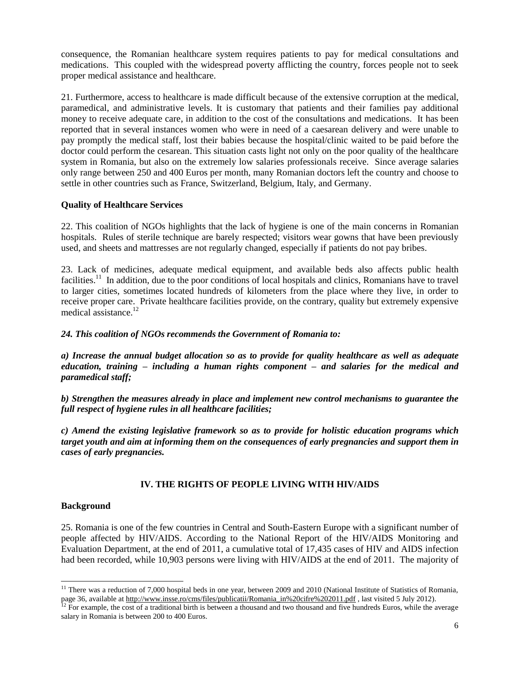consequence, the Romanian healthcare system requires patients to pay for medical consultations and medications. This coupled with the widespread poverty afflicting the country, forces people not to seek proper medical assistance and healthcare.

21. Furthermore, access to healthcare is made difficult because of the extensive corruption at the medical, paramedical, and administrative levels. It is customary that patients and their families pay additional money to receive adequate care, in addition to the cost of the consultations and medications. It has been reported that in several instances women who were in need of a caesarean delivery and were unable to pay promptly the medical staff, lost their babies because the hospital/clinic waited to be paid before the doctor could perform the cesarean. This situation casts light not only on the poor quality of the healthcare system in Romania, but also on the extremely low salaries professionals receive. Since average salaries only range between 250 and 400 Euros per month, many Romanian doctors left the country and choose to settle in other countries such as France, Switzerland, Belgium, Italy, and Germany.

# **Quality of Healthcare Services**

22. This coalition of NGOs highlights that the lack of hygiene is one of the main concerns in Romanian hospitals. Rules of sterile technique are barely respected; visitors wear gowns that have been previously used, and sheets and mattresses are not regularly changed, especially if patients do not pay bribes.

23. Lack of medicines, adequate medical equipment, and available beds also affects public health facilities.<sup>11</sup> In addition, due to the poor conditions of local hospitals and clinics, Romanians have to travel to larger cities, sometimes located hundreds of kilometers from the place where they live, in order to receive proper care. Private healthcare facilities provide, on the contrary, quality but extremely expensive medical assistance. 12

# *24. This coalition of NGOs recommends the Government of Romania to:*

*a) Increase the annual budget allocation so as to provide for quality healthcare as well as adequate education, training – including a human rights component – and salaries for the medical and paramedical staff;*

*b) Strengthen the measures already in place and implement new control mechanisms to guarantee the full respect of hygiene rules in all healthcare facilities;*

*c) Amend the existing legislative framework so as to provide for holistic education programs which target youth and aim at informing them on the consequences of early pregnancies and support them in cases of early pregnancies.*

# **IV. THE RIGHTS OF PEOPLE LIVING WITH HIV/AIDS**

# **Background**

l

25. Romania is one of the few countries in Central and South-Eastern Europe with a significant number of people affected by HIV/AIDS. According to the National Report of the HIV/AIDS Monitoring and Evaluation Department, at the end of 2011, a cumulative total of 17,435 cases of HIV and AIDS infection had been recorded, while 10,903 persons were living with HIV/AIDS at the end of 2011. The majority of

<sup>&</sup>lt;sup>11</sup> There was a reduction of 7,000 hospital beds in one year, between 2009 and 2010 (National Institute of Statistics of Romania, page 36, available at [http://www.insse.ro/cms/files/publicatii/Romania\\_in%20cifre%202011.pdf](http://www.insse.ro/cms/files/publicatii/Romania_in%20cifre%202011.pdf) , last visited 5 July 2012).

 $12$  For example, the cost of a traditional birth is between a thousand and two thousand and five hundreds Euros, while the average salary in Romania is between 200 to 400 Euros.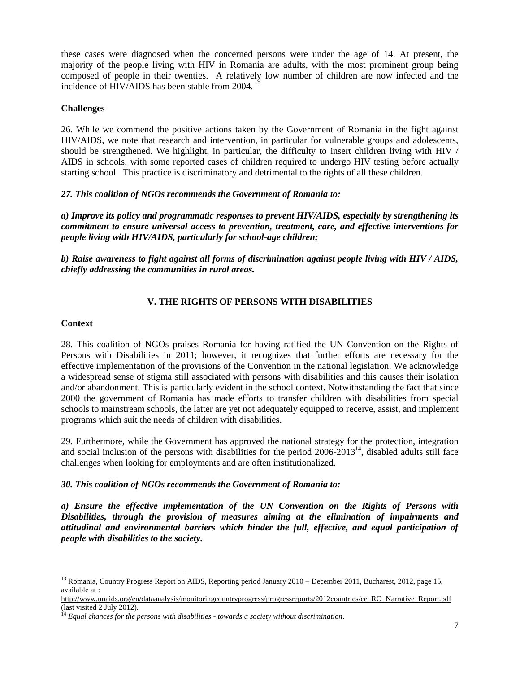these cases were diagnosed when the concerned persons were under the age of 14. At present, the majority of the people living with HIV in Romania are adults, with the most prominent group being composed of people in their twenties. A relatively low number of children are now infected and the incidence of HIV/AIDS has been stable from 2004.<sup>13</sup>

# **Challenges**

26. While we commend the positive actions taken by the Government of Romania in the fight against HIV/AIDS, we note that research and intervention, in particular for vulnerable groups and adolescents, should be strengthened. We highlight, in particular, the difficulty to insert children living with HIV / AIDS in schools, with some reported cases of children required to undergo HIV testing before actually starting school. This practice is discriminatory and detrimental to the rights of all these children.

# *27. This coalition of NGOs recommends the Government of Romania to:*

*a) Improve its policy and programmatic responses to prevent HIV/AIDS, especially by strengthening its commitment to ensure universal access to prevention, treatment, care, and effective interventions for people living with HIV/AIDS, particularly for school-age children;*

*b) Raise awareness to fight against all forms of discrimination against people living with HIV / AIDS, chiefly addressing the communities in rural areas.*

# **V. THE RIGHTS OF PERSONS WITH DISABILITIES**

#### **Context**

28. This coalition of NGOs praises Romania for having ratified the UN Convention on the Rights of Persons with Disabilities in 2011; however, it recognizes that further efforts are necessary for the effective implementation of the provisions of the Convention in the national legislation. We acknowledge a widespread sense of stigma still associated with persons with disabilities and this causes their isolation and/or abandonment. This is particularly evident in the school context. Notwithstanding the fact that since 2000 the government of Romania has made efforts to transfer children with disabilities from special schools to mainstream schools, the latter are yet not adequately equipped to receive, assist, and implement programs which suit the needs of children with disabilities.

29. Furthermore, while the Government has approved the national strategy for the protection, integration and social inclusion of the persons with disabilities for the period  $2006-2013<sup>14</sup>$ , disabled adults still face challenges when looking for employments and are often institutionalized.

# *30. This coalition of NGOs recommends the Government of Romania to:*

*a) Ensure the effective implementation of the UN Convention on the Rights of Persons with Disabilities, through the provision of measures aiming at the elimination of impairments and attitudinal and environmental barriers which hinder the full, effective, and equal participation of people with disabilities to the society.*

l <sup>13</sup> Romania, Country Progress Report on AIDS, Reporting period January 2010 – December 2011, Bucharest, 2012, page 15, available at :

http://www.unaids.org/en/dataanalysis/monitoringcountryprogress/progressreports/2012countries/ce\_RO\_Narrative\_Report.pdf (last visited 2 July 2012).

<sup>14</sup> *Equal chances for the persons with disabilities - towards a society without discrimination*.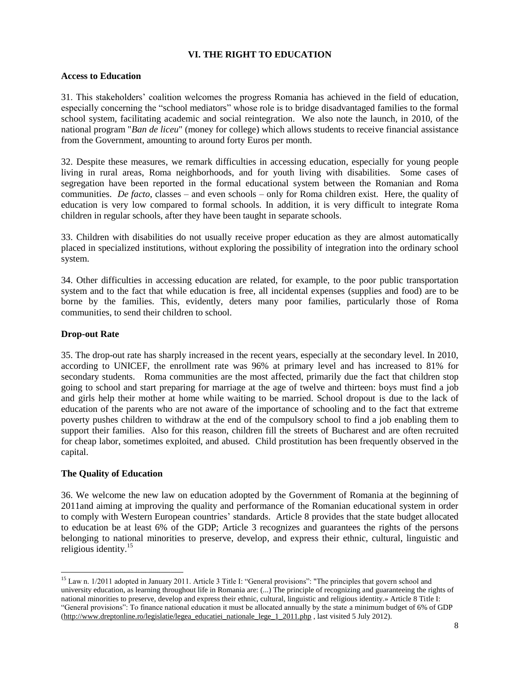# **VI. THE RIGHT TO EDUCATION**

## **Access to Education**

31. This stakeholders' coalition welcomes the progress Romania has achieved in the field of education, especially concerning the "school mediators" whose role is to bridge disadvantaged families to the formal school system, facilitating academic and social reintegration. We also note the launch, in 2010, of the national program "*Ban de liceu*" (money for college) which allows students to receive financial assistance from the Government, amounting to around forty Euros per month.

32. Despite these measures, we remark difficulties in accessing education, especially for young people living in rural areas, Roma neighborhoods, and for youth living with disabilities. Some cases of segregation have been reported in the formal educational system between the Romanian and Roma communities. *De facto*, classes – and even schools – only for Roma children exist. Here, the quality of education is very low compared to formal schools. In addition, it is very difficult to integrate Roma children in regular schools, after they have been taught in separate schools.

33. Children with disabilities do not usually receive proper education as they are almost automatically placed in specialized institutions, without exploring the possibility of integration into the ordinary school system.

34. Other difficulties in accessing education are related, for example, to the poor public transportation system and to the fact that while education is free, all incidental expenses (supplies and food) are to be borne by the families. This, evidently, deters many poor families, particularly those of Roma communities, to send their children to school.

# **Drop-out Rate**

35. The drop-out rate has sharply increased in the recent years, especially at the secondary level. In 2010, according to UNICEF, the enrollment rate was 96% at primary level and has increased to 81% for secondary students. Roma communities are the most affected, primarily due the fact that children stop going to school and start preparing for marriage at the age of twelve and thirteen: boys must find a job and girls help their mother at home while waiting to be married. School dropout is due to the lack of education of the parents who are not aware of the importance of schooling and to the fact that extreme poverty pushes children to withdraw at the end of the compulsory school to find a job enabling them to support their families. Also for this reason, children fill the streets of Bucharest and are often recruited for cheap labor, sometimes exploited, and abused. Child prostitution has been frequently observed in the capital.

# **The Quality of Education**

36. We welcome the new law on education adopted by the Government of Romania at the beginning of 2011and aiming at improving the quality and performance of the Romanian educational system in order to comply with Western European countries' standards. Article 8 provides that the state budget allocated to education be at least 6% of the GDP; Article 3 recognizes and guarantees the rights of the persons belonging to national minorities to preserve, develop, and express their ethnic, cultural, linguistic and religious identity.<sup>15</sup>

l <sup>15</sup> Law n. 1/2011 adopted in January 2011. Article 3 Title I: "General provisions": "The principles that govern school and university education, as learning throughout life in Romania are: (...) The principle of recognizing and guaranteeing the rights of national minorities to preserve, develop and express their ethnic, cultural, linguistic and religious identity.» Article 8 Title I: "General provisions": To finance national education it must be allocated annually by the state a minimum budget of 6% of GDP [\(http://www.dreptonline.ro/legislatie/legea\\_educatiei\\_nationale\\_lege\\_1\\_2011.php](http://www.dreptonline.ro/legislatie/legea_educatiei_nationale_lege_1_2011.php) , last visited 5 July 2012).